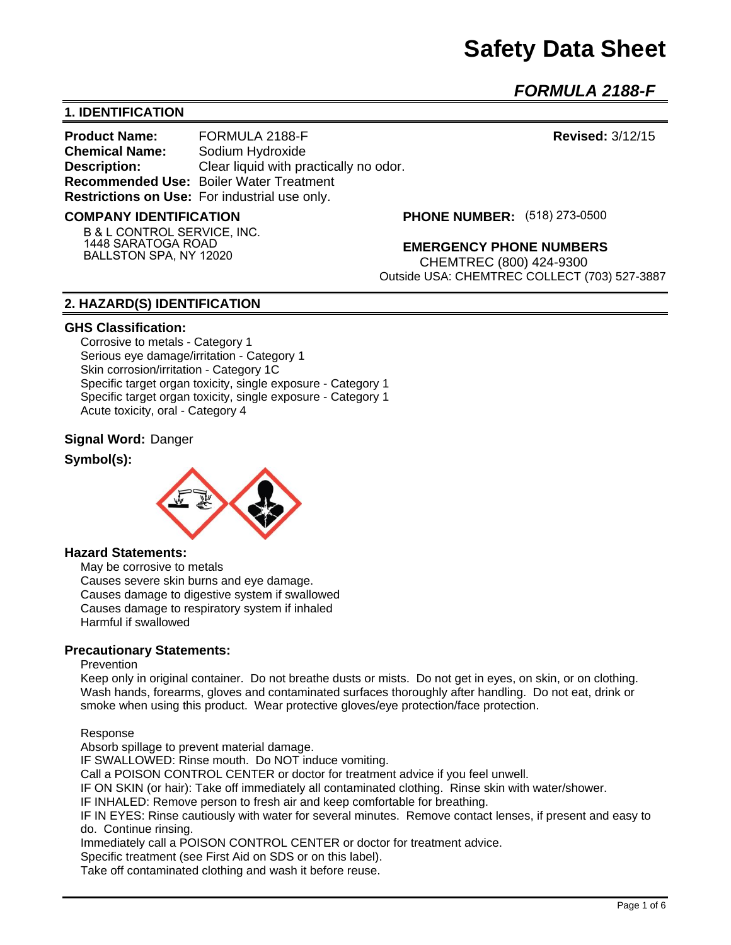# **Safety Data Sheet**

*FORMULA 2188-F* 

## **1. IDENTIFICATION**

**Product Name:** FORMULA 2188-F **Revised:** 3/12/15 **Chemical Name:** Sodium Hydroxide **Description:** Clear liquid with practically no odor. **Recommended Use:** Boiler Water Treatment **Restrictions on Use:** For industrial use only.

#### **COMPANY IDENTIFICATION**

**B & L CONTROL SERVICE, INC. 1448 SARATOGA ROAD BALLSTON SPA, NY 12020**

**(518) 273-0500**

**EMERGENCY PHONE NUMBERS**

CHEMTREC (800) 424-9300 Outside USA: CHEMTREC COLLECT (703) 527-3887

### **2. HAZARD(S) IDENTIFICATION**

#### **GHS Classification:**

Corrosive to metals - Category 1 Serious eye damage/irritation - Category 1 Skin corrosion/irritation - Category 1C Specific target organ toxicity, single exposure - Category 1 Specific target organ toxicity, single exposure - Category 1 Acute toxicity, oral - Category 4

#### **Signal Word:** Danger

#### **Symbol(s):**



### **Hazard Statements:**

May be corrosive to metals Causes severe skin burns and eye damage. Causes damage to digestive system if swallowed Causes damage to respiratory system if inhaled Harmful if swallowed

#### **Precautionary Statements:**

#### Prevention

Keep only in original container. Do not breathe dusts or mists. Do not get in eyes, on skin, or on clothing. Wash hands, forearms, gloves and contaminated surfaces thoroughly after handling. Do not eat, drink or smoke when using this product. Wear protective gloves/eye protection/face protection.

#### Response

Absorb spillage to prevent material damage.

IF SWALLOWED: Rinse mouth. Do NOT induce vomiting.

Call a POISON CONTROL CENTER or doctor for treatment advice if you feel unwell.

IF ON SKIN (or hair): Take off immediately all contaminated clothing. Rinse skin with water/shower.

IF INHALED: Remove person to fresh air and keep comfortable for breathing.

IF IN EYES: Rinse cautiously with water for several minutes. Remove contact lenses, if present and easy to do. Continue rinsing.

Immediately call a POISON CONTROL CENTER or doctor for treatment advice.

Specific treatment (see First Aid on SDS or on this label).

Take off contaminated clothing and wash it before reuse.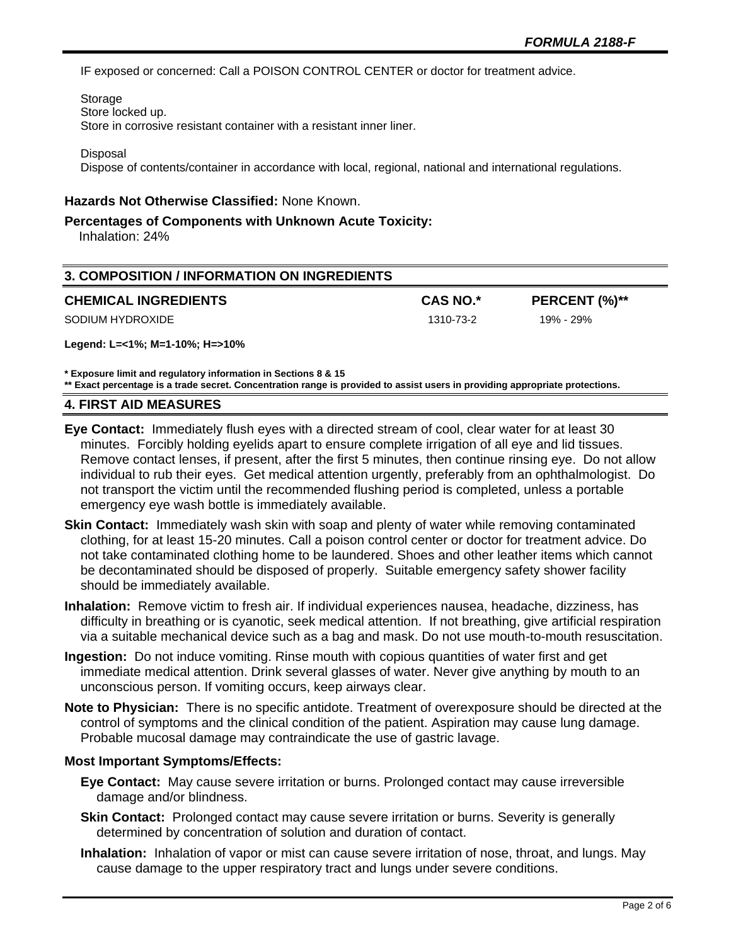IF exposed or concerned: Call a POISON CONTROL CENTER or doctor for treatment advice.

Storage Store locked up. Store in corrosive resistant container with a resistant inner liner.

Disposal

Dispose of contents/container in accordance with local, regional, national and international regulations.

### **Hazards Not Otherwise Classified:** None Known.

#### **Percentages of Components with Unknown Acute Toxicity:**

Inhalation: 24%

| 3. COMPOSITION / INFORMATION ON INGREDIENTS |                 |               |  |
|---------------------------------------------|-----------------|---------------|--|
| <b>CHEMICAL INGREDIENTS</b>                 | <b>CAS NO.*</b> | PERCENT (%)** |  |
| SODIUM HYDROXIDE                            | 1310-73-2       | 19% - 29%     |  |
| Legend: L=<1%; M=1-10%; H=>10%              |                 |               |  |

**\* Exposure limit and regulatory information in Sections 8 & 15**

**\*\* Exact percentage is a trade secret. Concentration range is provided to assist users in providing appropriate protections.**

#### **4. FIRST AID MEASURES**

- **Eye Contact:** Immediately flush eyes with a directed stream of cool, clear water for at least 30 minutes. Forcibly holding eyelids apart to ensure complete irrigation of all eye and lid tissues. Remove contact lenses, if present, after the first 5 minutes, then continue rinsing eye. Do not allow individual to rub their eyes. Get medical attention urgently, preferably from an ophthalmologist. Do not transport the victim until the recommended flushing period is completed, unless a portable emergency eye wash bottle is immediately available.
- **Skin Contact:** Immediately wash skin with soap and plenty of water while removing contaminated clothing, for at least 15-20 minutes. Call a poison control center or doctor for treatment advice. Do not take contaminated clothing home to be laundered. Shoes and other leather items which cannot be decontaminated should be disposed of properly. Suitable emergency safety shower facility should be immediately available.
- **Inhalation:** Remove victim to fresh air. If individual experiences nausea, headache, dizziness, has difficulty in breathing or is cyanotic, seek medical attention. If not breathing, give artificial respiration via a suitable mechanical device such as a bag and mask. Do not use mouth-to-mouth resuscitation.
- **Ingestion:** Do not induce vomiting. Rinse mouth with copious quantities of water first and get immediate medical attention. Drink several glasses of water. Never give anything by mouth to an unconscious person. If vomiting occurs, keep airways clear.
- **Note to Physician:** There is no specific antidote. Treatment of overexposure should be directed at the control of symptoms and the clinical condition of the patient. Aspiration may cause lung damage. Probable mucosal damage may contraindicate the use of gastric lavage.

### **Most Important Symptoms/Effects:**

- **Eye Contact:** May cause severe irritation or burns. Prolonged contact may cause irreversible damage and/or blindness.
- **Skin Contact:** Prolonged contact may cause severe irritation or burns. Severity is generally determined by concentration of solution and duration of contact.
- **Inhalation:** Inhalation of vapor or mist can cause severe irritation of nose, throat, and lungs. May cause damage to the upper respiratory tract and lungs under severe conditions.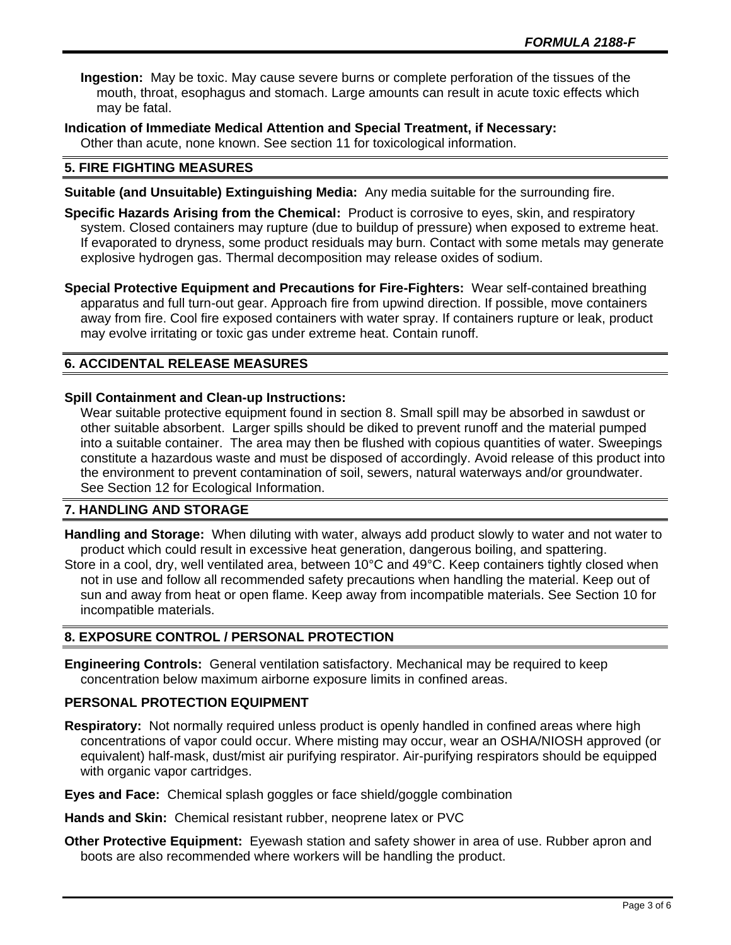**Ingestion:** May be toxic. May cause severe burns or complete perforation of the tissues of the mouth, throat, esophagus and stomach. Large amounts can result in acute toxic effects which may be fatal.

**Indication of Immediate Medical Attention and Special Treatment, if Necessary:** Other than acute, none known. See section 11 for toxicological information.

## **5. FIRE FIGHTING MEASURES**

**Suitable (and Unsuitable) Extinguishing Media:** Any media suitable for the surrounding fire.

**Specific Hazards Arising from the Chemical:** Product is corrosive to eyes, skin, and respiratory system. Closed containers may rupture (due to buildup of pressure) when exposed to extreme heat. If evaporated to dryness, some product residuals may burn. Contact with some metals may generate explosive hydrogen gas. Thermal decomposition may release oxides of sodium.

**Special Protective Equipment and Precautions for Fire-Fighters:** Wear self-contained breathing apparatus and full turn-out gear. Approach fire from upwind direction. If possible, move containers away from fire. Cool fire exposed containers with water spray. If containers rupture or leak, product may evolve irritating or toxic gas under extreme heat. Contain runoff.

## **6. ACCIDENTAL RELEASE MEASURES**

### **Spill Containment and Clean-up Instructions:**

Wear suitable protective equipment found in section 8. Small spill may be absorbed in sawdust or other suitable absorbent. Larger spills should be diked to prevent runoff and the material pumped into a suitable container. The area may then be flushed with copious quantities of water. Sweepings constitute a hazardous waste and must be disposed of accordingly. Avoid release of this product into the environment to prevent contamination of soil, sewers, natural waterways and/or groundwater. See Section 12 for Ecological Information.

## **7. HANDLING AND STORAGE**

**Handling and Storage:** When diluting with water, always add product slowly to water and not water to product which could result in excessive heat generation, dangerous boiling, and spattering.

Store in a cool, dry, well ventilated area, between 10°C and 49°C. Keep containers tightly closed when not in use and follow all recommended safety precautions when handling the material. Keep out of sun and away from heat or open flame. Keep away from incompatible materials. See Section 10 for incompatible materials.

## **8. EXPOSURE CONTROL / PERSONAL PROTECTION**

**Engineering Controls:** General ventilation satisfactory. Mechanical may be required to keep concentration below maximum airborne exposure limits in confined areas.

### **PERSONAL PROTECTION EQUIPMENT**

- **Respiratory:** Not normally required unless product is openly handled in confined areas where high concentrations of vapor could occur. Where misting may occur, wear an OSHA/NIOSH approved (or equivalent) half-mask, dust/mist air purifying respirator. Air-purifying respirators should be equipped with organic vapor cartridges.
- **Eyes and Face:** Chemical splash goggles or face shield/goggle combination

**Hands and Skin:** Chemical resistant rubber, neoprene latex or PVC

**Other Protective Equipment:** Eyewash station and safety shower in area of use. Rubber apron and boots are also recommended where workers will be handling the product.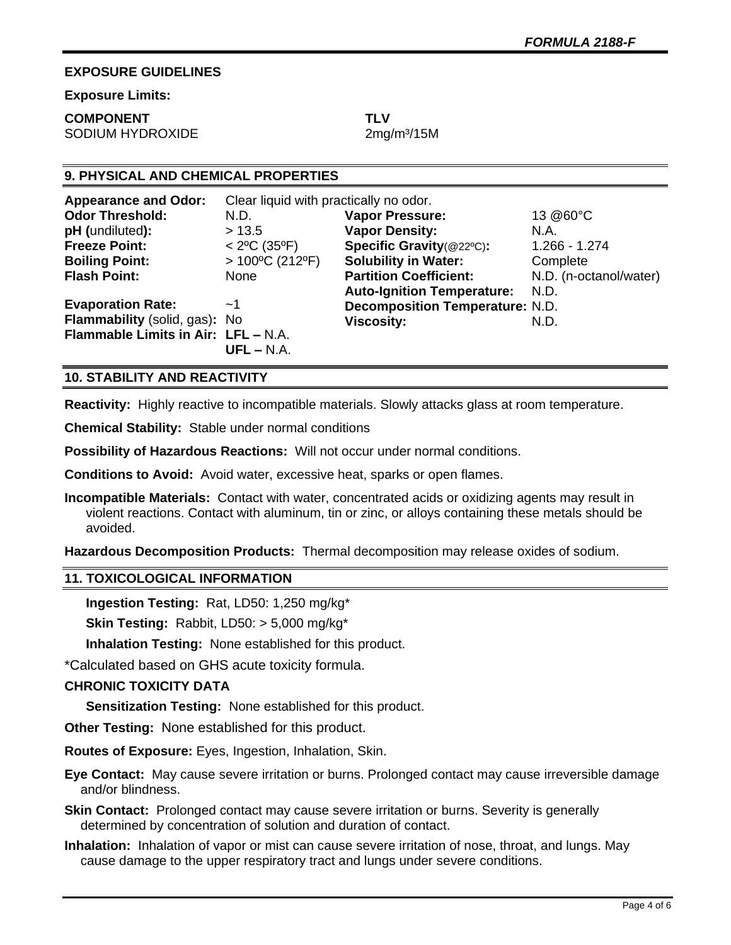## **EXPOSURE GUIDELINES**

**Exposure Limits:** 

# **COMPONENT TLV**

SODIUM HYDROXIDE 2mg/m<sup>3</sup>/15M

## **9. PHYSICAL AND CHEMICAL PROPERTIES**

| <b>Appearance and Odor:</b>         | Clear liquid with practically no odor. |                                        |                        |
|-------------------------------------|----------------------------------------|----------------------------------------|------------------------|
| <b>Odor Threshold:</b>              | N.D.                                   | <b>Vapor Pressure:</b>                 | 13 @60°C               |
| pH (undiluted):                     | > 13.5                                 | <b>Vapor Density:</b>                  | N.A.                   |
| <b>Freeze Point:</b>                | $< 2^{\circ}$ C (35 $^{\circ}$ F)      | Specific Gravity(@22°C):               | $1.266 - 1.274$        |
| <b>Boiling Point:</b>               | $>100^{\circ}$ C (212°F)               | <b>Solubility in Water:</b>            | Complete               |
| <b>Flash Point:</b>                 | None                                   | <b>Partition Coefficient:</b>          | N.D. (n-octanol/water) |
|                                     |                                        | <b>Auto-Ignition Temperature:</b>      | N.D.                   |
| <b>Evaporation Rate:</b>            | ~1                                     | <b>Decomposition Temperature: N.D.</b> |                        |
| Flammability (solid, gas): No       |                                        | <b>Viscosity:</b>                      | N.D.                   |
| Flammable Limits in Air: LFL - N.A. |                                        |                                        |                        |
|                                     | $UFL - N.A.$                           |                                        |                        |

## **10. STABILITY AND REACTIVITY**

**Reactivity:** Highly reactive to incompatible materials. Slowly attacks glass at room temperature.

**Chemical Stability:** Stable under normal conditions

**Possibility of Hazardous Reactions:** Will not occur under normal conditions.

**Conditions to Avoid:** Avoid water, excessive heat, sparks or open flames.

**Incompatible Materials:** Contact with water, concentrated acids or oxidizing agents may result in violent reactions. Contact with aluminum, tin or zinc, or alloys containing these metals should be avoided.

**Hazardous Decomposition Products:** Thermal decomposition may release oxides of sodium.

## **11. TOXICOLOGICAL INFORMATION**

**Ingestion Testing:** Rat, LD50: 1,250 mg/kg\*

**Skin Testing:** Rabbit, LD50: > 5,000 mg/kg\*

**Inhalation Testing:** None established for this product.

\*Calculated based on GHS acute toxicity formula.

## **CHRONIC TOXICITY DATA**

**Sensitization Testing:** None established for this product.

**Other Testing:** None established for this product.

**Routes of Exposure:** Eyes, Ingestion, Inhalation, Skin.

**Eye Contact:** May cause severe irritation or burns. Prolonged contact may cause irreversible damage and/or blindness.

- **Skin Contact:** Prolonged contact may cause severe irritation or burns. Severity is generally determined by concentration of solution and duration of contact.
- **Inhalation:** Inhalation of vapor or mist can cause severe irritation of nose, throat, and lungs. May cause damage to the upper respiratory tract and lungs under severe conditions.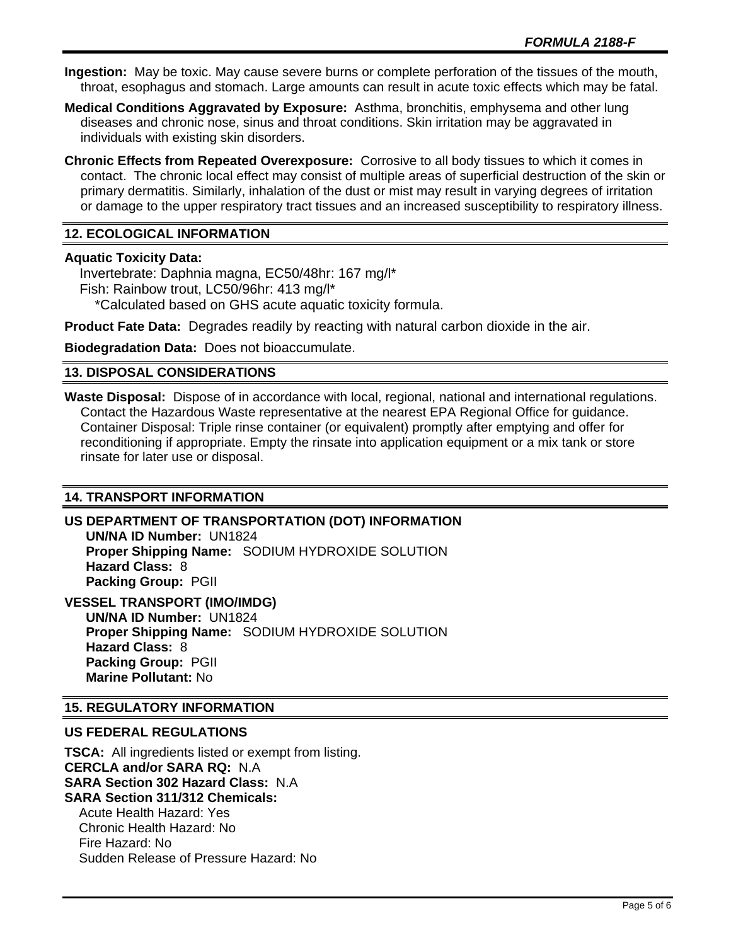**Ingestion:** May be toxic. May cause severe burns or complete perforation of the tissues of the mouth, throat, esophagus and stomach. Large amounts can result in acute toxic effects which may be fatal.

**Medical Conditions Aggravated by Exposure:** Asthma, bronchitis, emphysema and other lung diseases and chronic nose, sinus and throat conditions. Skin irritation may be aggravated in individuals with existing skin disorders.

**Chronic Effects from Repeated Overexposure:** Corrosive to all body tissues to which it comes in contact. The chronic local effect may consist of multiple areas of superficial destruction of the skin or primary dermatitis. Similarly, inhalation of the dust or mist may result in varying degrees of irritation or damage to the upper respiratory tract tissues and an increased susceptibility to respiratory illness.

## **12. ECOLOGICAL INFORMATION**

## **Aquatic Toxicity Data:**

 Invertebrate: Daphnia magna, EC50/48hr: 167 mg/l\* Fish: Rainbow trout, LC50/96hr: 413 mg/l\* \*Calculated based on GHS acute aquatic toxicity formula.

**Product Fate Data:** Degrades readily by reacting with natural carbon dioxide in the air.

**Biodegradation Data:** Does not bioaccumulate.

## **13. DISPOSAL CONSIDERATIONS**

**Waste Disposal:** Dispose of in accordance with local, regional, national and international regulations. Contact the Hazardous Waste representative at the nearest EPA Regional Office for guidance. Container Disposal: Triple rinse container (or equivalent) promptly after emptying and offer for reconditioning if appropriate. Empty the rinsate into application equipment or a mix tank or store rinsate for later use or disposal.

## **14. TRANSPORT INFORMATION**

#### **US DEPARTMENT OF TRANSPORTATION (DOT) INFORMATION UN/NA ID Number:** UN1824

**Proper Shipping Name:** SODIUM HYDROXIDE SOLUTION **Hazard Class:** 8 **Packing Group:** PGII

## **VESSEL TRANSPORT (IMO/IMDG)**

**UN/NA ID Number:** UN1824 **Proper Shipping Name:** SODIUM HYDROXIDE SOLUTION **Hazard Class:** 8 **Packing Group:** PGII **Marine Pollutant:** No

### **15. REGULATORY INFORMATION**

### **US FEDERAL REGULATIONS**

**TSCA:** All ingredients listed or exempt from listing. **CERCLA and/or SARA RQ:** N.A **SARA Section 302 Hazard Class:** N.A **SARA Section 311/312 Chemicals:**  Acute Health Hazard: Yes Chronic Health Hazard: No Fire Hazard: No Sudden Release of Pressure Hazard: No